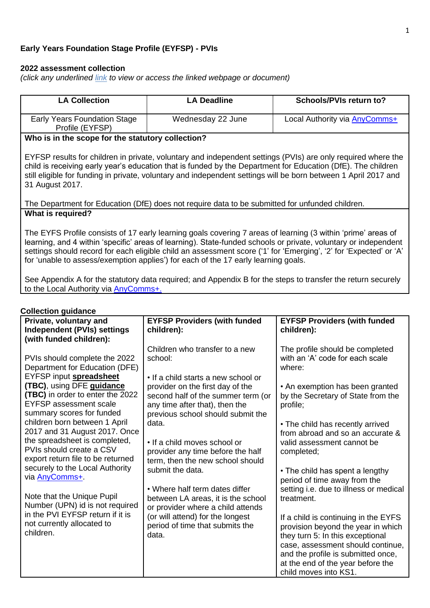## **Early Years Foundation Stage Profile (EYFSP) - PVIs**

## **2022 assessment collection**

*(click any underlined link to view or access the linked webpage or document)*

| <b>LA Collection</b>                                                                                                                                                                                                                                                                                                                                                                                                                       | <b>LA Deadline</b><br>Schools/PVIs return to?                                                                                                                                        |                                                                                                                                       |  |  |
|--------------------------------------------------------------------------------------------------------------------------------------------------------------------------------------------------------------------------------------------------------------------------------------------------------------------------------------------------------------------------------------------------------------------------------------------|--------------------------------------------------------------------------------------------------------------------------------------------------------------------------------------|---------------------------------------------------------------------------------------------------------------------------------------|--|--|
| <b>Early Years Foundation Stage</b><br>Profile (EYFSP)                                                                                                                                                                                                                                                                                                                                                                                     | Wednesday 22 June                                                                                                                                                                    | Local Authority via <b>AnyComms+</b>                                                                                                  |  |  |
| Who is in the scope for the statutory collection?                                                                                                                                                                                                                                                                                                                                                                                          |                                                                                                                                                                                      |                                                                                                                                       |  |  |
| EYFSP results for children in private, voluntary and independent settings (PVIs) are only required where the<br>child is receiving early year's education that is funded by the Department for Education (DfE). The children<br>still eligible for funding in private, voluntary and independent settings will be born between 1 April 2017 and<br>31 August 2017.                                                                         |                                                                                                                                                                                      |                                                                                                                                       |  |  |
|                                                                                                                                                                                                                                                                                                                                                                                                                                            | The Department for Education (DfE) does not require data to be submitted for unfunded children.                                                                                      |                                                                                                                                       |  |  |
| <b>What is required?</b>                                                                                                                                                                                                                                                                                                                                                                                                                   |                                                                                                                                                                                      |                                                                                                                                       |  |  |
| The EYFS Profile consists of 17 early learning goals covering 7 areas of learning (3 within 'prime' areas of<br>learning, and 4 within 'specific' areas of learning). State-funded schools or private, voluntary or independent<br>settings should record for each eligible child an assessment score ('1' for 'Emerging', '2' for 'Expected' or 'A'<br>for 'unable to assess/exemption applies') for each of the 17 early learning goals. |                                                                                                                                                                                      |                                                                                                                                       |  |  |
| to the Local Authority via AnyComms+.                                                                                                                                                                                                                                                                                                                                                                                                      | See Appendix A for the statutory data required; and Appendix B for the steps to transfer the return securely                                                                         |                                                                                                                                       |  |  |
| <b>Collection guidance</b>                                                                                                                                                                                                                                                                                                                                                                                                                 |                                                                                                                                                                                      |                                                                                                                                       |  |  |
| Private, voluntary and<br><b>Independent (PVIs) settings</b><br>(with funded children):                                                                                                                                                                                                                                                                                                                                                    | <b>EYFSP Providers (with funded</b><br>children):                                                                                                                                    | <b>EYFSP Providers (with funded</b><br>children):                                                                                     |  |  |
| PVIs should complete the 2022<br>Department for Education (DFE)                                                                                                                                                                                                                                                                                                                                                                            | Children who transfer to a new<br>school:                                                                                                                                            | The profile should be completed<br>with an 'A' code for each scale<br>where:                                                          |  |  |
| EYFSP input spreadsheet<br>(TBC), using DFE guidance<br>(TBC) in order to enter the 2022<br><b>EYFSP</b> assessment scale<br>summary scores for funded                                                                                                                                                                                                                                                                                     | • If a child starts a new school or<br>provider on the first day of the<br>second half of the summer term (or<br>any time after that), then the<br>previous school should submit the | • An exemption has been granted<br>by the Secretary of State from the<br>profile;                                                     |  |  |
| children born between 1 April<br>2017 and 31 August 2017. Once<br>the spreadsheet is completed,<br>PVIs should create a CSV<br>export return file to be returned                                                                                                                                                                                                                                                                           | data.<br>• If a child moves school or<br>provider any time before the half<br>term, then the new school should                                                                       | • The child has recently arrived<br>from abroad and so an accurate &<br>valid assessment cannot be<br>completed;                      |  |  |
| securely to the Local Authority<br>via <b>AnyComms+</b>                                                                                                                                                                                                                                                                                                                                                                                    | submit the data.<br>• Where half term dates differ                                                                                                                                   | • The child has spent a lengthy<br>period of time away from the<br>setting i.e. due to illness or medical                             |  |  |
| Note that the Unique Pupil<br>Number (UPN) id is not required<br>in the PVI EYFSP return if it is<br>not currently allocated to<br>children.                                                                                                                                                                                                                                                                                               | between LA areas, it is the school<br>or provider where a child attends<br>(or will attend) for the longest<br>period of time that submits the<br>data.                              | treatment.<br>If a child is continuing in the EYFS<br>provision beyond the year in which<br>they turn 5: In this exceptional          |  |  |
|                                                                                                                                                                                                                                                                                                                                                                                                                                            |                                                                                                                                                                                      | case, assessment should continue,<br>and the profile is submitted once,<br>at the end of the year before the<br>child moves into KS1. |  |  |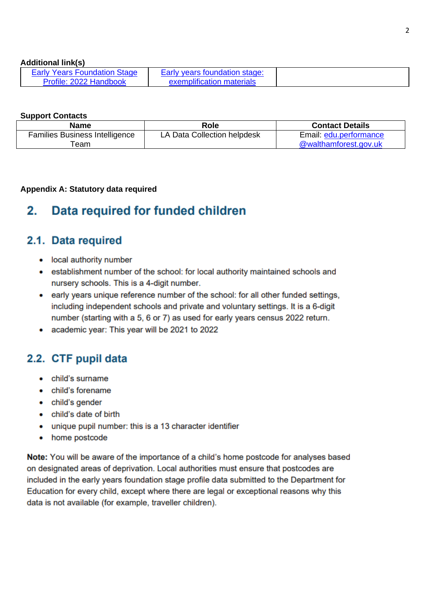### **Additional link(s)**

| <b>Early Years Foundation Stage</b> | Early years foundation stage: |
|-------------------------------------|-------------------------------|
| Profile: 2022 Handbook              | exemplification materials     |

### **Support Contacts**

| <b>Name</b>                           | Role                        | <b>Contact Details</b> |
|---------------------------------------|-----------------------------|------------------------|
| <b>Families Business Intelligence</b> | LA Data Collection helpdesk | Email: edu.performance |
| ēam                                   |                             | @walthamforest.gov.uk  |

## Appendix A: Statutory data required

#### Data required for funded children  $2<sub>1</sub>$

## 2.1. Data required

- local authority number
- establishment number of the school: for local authority maintained schools and nursery schools. This is a 4-digit number.
- early years unique reference number of the school: for all other funded settings, including independent schools and private and voluntary settings. It is a 6-digit number (starting with a 5, 6 or 7) as used for early years census 2022 return.
- academic year: This year will be 2021 to 2022

# 2.2. CTF pupil data

- child's surname
- child's forename
- child's gender
- child's date of birth
- unique pupil number: this is a 13 character identifier
- home postcode

Note: You will be aware of the importance of a child's home postcode for analyses based on designated areas of deprivation. Local authorities must ensure that postcodes are included in the early years foundation stage profile data submitted to the Department for Education for every child, except where there are legal or exceptional reasons why this data is not available (for example, traveller children).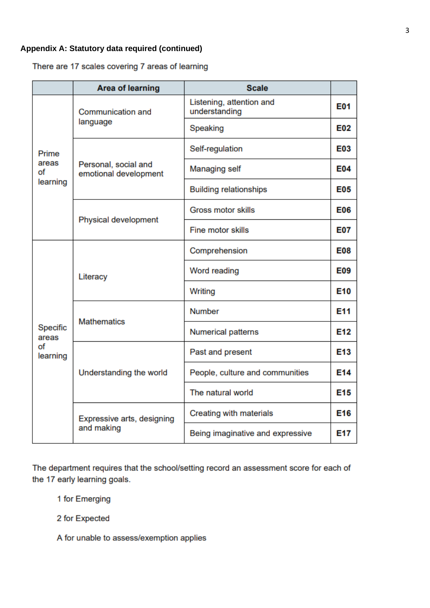# **Appendix A: Statutory data required (continued)**

There are 17 scales covering 7 areas of learning

|                                     | <b>Area of learning</b>                       | <b>Scale</b>                              |                 |
|-------------------------------------|-----------------------------------------------|-------------------------------------------|-----------------|
|                                     | <b>Communication and</b>                      | Listening, attention and<br>understanding | E01             |
|                                     | language                                      | Speaking                                  | E02             |
| Prime                               |                                               | Self-regulation                           | E03             |
| areas<br>of<br>learning             | Personal, social and<br>emotional development | <b>Managing self</b>                      | <b>E04</b>      |
|                                     |                                               | <b>Building relationships</b>             | <b>E05</b>      |
|                                     | Physical development                          | <b>Gross motor skills</b>                 | <b>E06</b>      |
|                                     |                                               | <b>Fine motor skills</b>                  | <b>E07</b>      |
| Specific<br>areas<br>оf<br>learning |                                               | Comprehension                             | <b>E08</b>      |
|                                     | Literacy                                      | Word reading                              | E09             |
|                                     |                                               | Writing                                   | E <sub>10</sub> |
|                                     | <b>Mathematics</b>                            | <b>Number</b>                             | E <sub>11</sub> |
|                                     |                                               | <b>Numerical patterns</b>                 | E12             |
|                                     |                                               | Past and present                          | E <sub>13</sub> |
|                                     | Understanding the world                       | People, culture and communities           | E <sub>14</sub> |
|                                     |                                               | The natural world                         | E <sub>15</sub> |
|                                     | Expressive arts, designing                    | Creating with materials                   | E16             |
|                                     | and making                                    | Being imaginative and expressive          | E17             |

The department requires that the school/setting record an assessment score for each of the 17 early learning goals.

1 for Emerging

2 for Expected

A for unable to assess/exemption applies